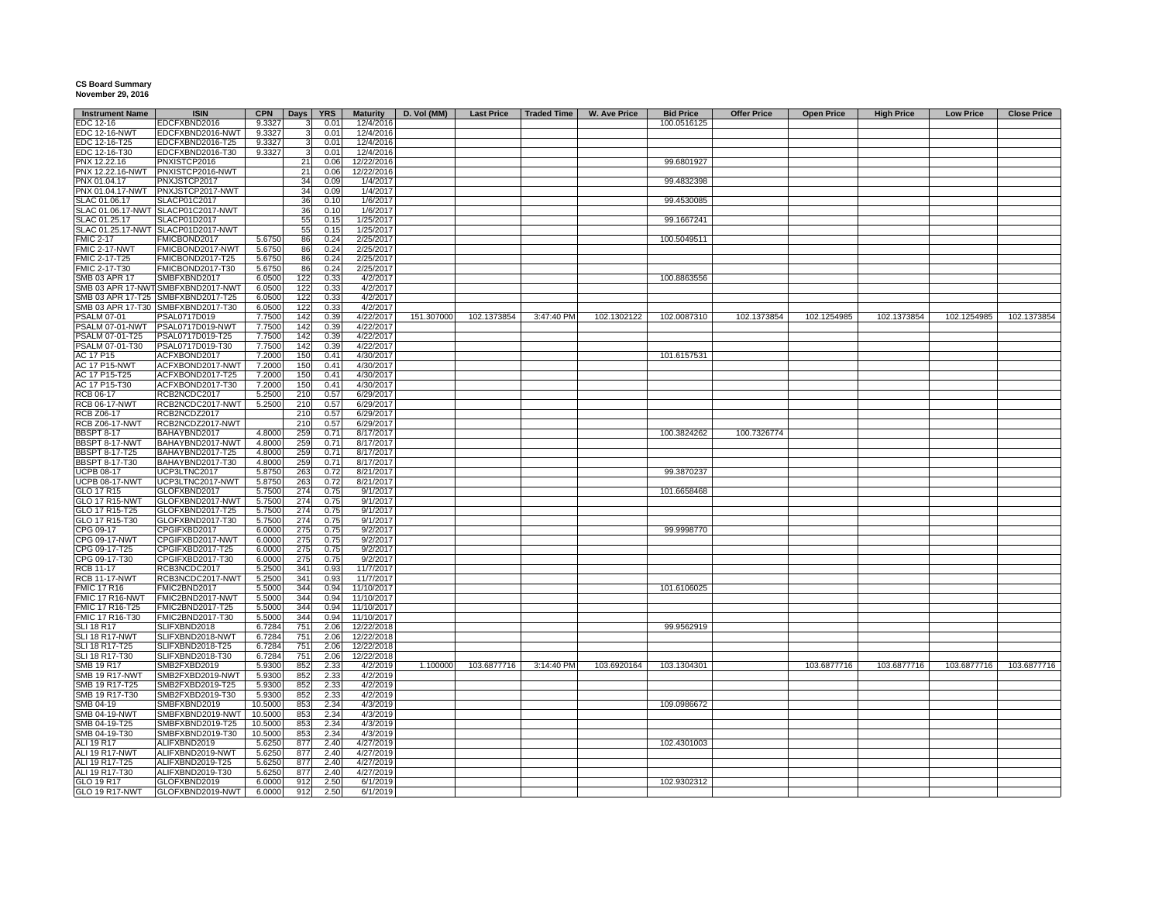## **CS Board Summary November 29, 2016**

| <b>Instrument Name</b> | <b>ISIN</b>                        | <b>CPN</b> |              | Days YRS | <b>Maturity</b> | D. Vol (MM) |             | Last Price   Traded Time | <b>W. Ave Price</b> | <b>Bid Price</b> | <b>Offer Price</b> | <b>Open Price</b> | <b>High Price</b> | <b>Low Price</b> | <b>Close Price</b> |
|------------------------|------------------------------------|------------|--------------|----------|-----------------|-------------|-------------|--------------------------|---------------------|------------------|--------------------|-------------------|-------------------|------------------|--------------------|
| EDC 12-16              | EDCFXBND2016                       | 9.3327     | $\mathbf{3}$ | 0.01     | 12/4/2016       |             |             |                          |                     | 100.0516125      |                    |                   |                   |                  |                    |
| <b>EDC 12-16-NWT</b>   | EDCFXBND2016-NWT                   | 9.3327     | 3            | 0.01     | 12/4/2016       |             |             |                          |                     |                  |                    |                   |                   |                  |                    |
| EDC 12-16-T25          | EDCFXBND2016-T25                   | 9.3327     | 3            | 0.01     | 12/4/2016       |             |             |                          |                     |                  |                    |                   |                   |                  |                    |
| EDC 12-16-T30          | EDCFXBND2016-T30                   | 9.3327     | 3            | 0.01     | 12/4/2016       |             |             |                          |                     |                  |                    |                   |                   |                  |                    |
| PNX 12.22.16           | PNXISTCP2016                       |            | 21           | 0.06     | 12/22/2016      |             |             |                          |                     | 99.6801927       |                    |                   |                   |                  |                    |
| PNX 12.22.16-NWT       | PNXISTCP2016-NWT                   |            | 21           | 0.06     | 12/22/2016      |             |             |                          |                     |                  |                    |                   |                   |                  |                    |
| PNX 01.04.17           | PNXJSTCP2017                       |            | 34           | 0.09     | 1/4/2017        |             |             |                          |                     | 99.4832398       |                    |                   |                   |                  |                    |
|                        |                                    |            |              |          |                 |             |             |                          |                     |                  |                    |                   |                   |                  |                    |
| PNX 01.04.17-NWT       | PNXJSTCP2017-NWT                   |            | 34           | 0.09     | 1/4/2017        |             |             |                          |                     |                  |                    |                   |                   |                  |                    |
| SLAC 01.06.17          | SLACP01C2017                       |            | 36           | 0.10     | 1/6/2017        |             |             |                          |                     | 99.4530085       |                    |                   |                   |                  |                    |
|                        | SLAC 01.06.17-NWT SLACP01C2017-NWT |            | 36           | 0.10     | 1/6/2017        |             |             |                          |                     |                  |                    |                   |                   |                  |                    |
| SLAC 01.25.17          | SLACP01D2017                       |            | 55           | 0.15     | 1/25/2017       |             |             |                          |                     | 99.1667241       |                    |                   |                   |                  |                    |
|                        | SLAC 01.25.17-NWT SLACP01D2017-NWT |            | 55           | 0.15     | 1/25/2017       |             |             |                          |                     |                  |                    |                   |                   |                  |                    |
| <b>FMIC 2-17</b>       | FMICBOND2017                       | 5.6750     | 86           | 0.24     | 2/25/2017       |             |             |                          |                     | 100.5049511      |                    |                   |                   |                  |                    |
| FMIC 2-17-NWT          | FMICBOND2017-NWT                   | 5.6750     | 86           | 0.24     | 2/25/2017       |             |             |                          |                     |                  |                    |                   |                   |                  |                    |
| FMIC 2-17-T25          | FMICBOND2017-T25                   | 5.6750     | 86           | 0.24     | 2/25/2017       |             |             |                          |                     |                  |                    |                   |                   |                  |                    |
| FMIC 2-17-T30          | FMICBOND2017-T30                   | 5.6750     | 86           | 0.24     | 2/25/2017       |             |             |                          |                     |                  |                    |                   |                   |                  |                    |
| SMB 03 APR 17          | SMBFXBND2017                       | 6.0500     | 122          | 0.33     | 4/2/2017        |             |             |                          |                     | 100.8863556      |                    |                   |                   |                  |                    |
|                        | SMB 03 APR 17-NWT SMBFXBND2017-NWT | 6.0500     | 122          | 0.33     | 4/2/2017        |             |             |                          |                     |                  |                    |                   |                   |                  |                    |
|                        | SMB 03 APR 17-T25 SMBFXBND2017-T25 | 6.0500     | 122          | 0.33     | 4/2/2017        |             |             |                          |                     |                  |                    |                   |                   |                  |                    |
|                        |                                    |            |              |          |                 |             |             |                          |                     |                  |                    |                   |                   |                  |                    |
|                        | SMB 03 APR 17-T30 SMBFXBND2017-T30 | 6.0500     | 122          | 0.33     | 4/2/2017        |             |             |                          |                     |                  |                    |                   |                   |                  |                    |
| <b>PSALM 07-01</b>     | PSAL0717D019                       | 7.7500     | 142          | 0.39     | 4/22/2017       | 151.307000  | 102.1373854 | 3:47:40 PM               | 102.1302122         | 102.0087310      | 102.1373854        | 102.1254985       | 102.1373854       | 102.1254985      | 102.1373854        |
|                        | PSALM 07-01-NWT PSAL0717D019-NWT   | 7.7500     | 142          | 0.39     | 4/22/2017       |             |             |                          |                     |                  |                    |                   |                   |                  |                    |
| PSALM 07-01-T25        | PSAL0717D019-T25                   | 7.7500     | 142          | 0.39     | 4/22/2017       |             |             |                          |                     |                  |                    |                   |                   |                  |                    |
| PSALM 07-01-T30        | PSAL0717D019-T30                   | 7.7500     | 142          | 0.39     | 4/22/2017       |             |             |                          |                     |                  |                    |                   |                   |                  |                    |
| AC 17 P15              | ACFXBOND2017                       | 7.2000     | 150          | 0.41     | 4/30/2017       |             |             |                          |                     | 101.6157531      |                    |                   |                   |                  |                    |
| AC 17 P15-NWT          | ACFXBOND2017-NWT                   | 7.2000     | 150          | 0.41     | 4/30/2017       |             |             |                          |                     |                  |                    |                   |                   |                  |                    |
| AC 17 P15-T25          | ACFXBOND2017-T25                   | 7.2000     | 150          | 0.41     | 4/30/2017       |             |             |                          |                     |                  |                    |                   |                   |                  |                    |
| AC 17 P15-T30          | ACFXBOND2017-T30                   | 7.2000     | 150          | 0.41     | 4/30/2017       |             |             |                          |                     |                  |                    |                   |                   |                  |                    |
|                        |                                    |            |              |          |                 |             |             |                          |                     |                  |                    |                   |                   |                  |                    |
| RCB 06-17              | RCB2NCDC2017                       | 5.2500     | 210          | 0.57     | 6/29/2017       |             |             |                          |                     |                  |                    |                   |                   |                  |                    |
| <b>RCB 06-17-NWT</b>   | RCB2NCDC2017-NWT                   | 5.2500     | 210          | 0.57     | 6/29/2017       |             |             |                          |                     |                  |                    |                   |                   |                  |                    |
| <b>RCB Z06-17</b>      | RCB2NCDZ2017                       |            | 210          | 0.57     | 6/29/2017       |             |             |                          |                     |                  |                    |                   |                   |                  |                    |
| <b>RCB Z06-17-NWT</b>  | RCB2NCDZ2017-NWT                   |            | 210          | 0.57     | 6/29/2017       |             |             |                          |                     |                  |                    |                   |                   |                  |                    |
| <b>BBSPT 8-17</b>      | BAHAYBND2017                       | 4.8000     | 259          | 0.71     | 8/17/2017       |             |             |                          |                     | 100.3824262      | 100.7326774        |                   |                   |                  |                    |
| BBSPT 8-17-NWT         | BAHAYBND2017-NWT                   | 4.8000     | 259          | 0.71     | 8/17/2017       |             |             |                          |                     |                  |                    |                   |                   |                  |                    |
| <b>BBSPT 8-17-T25</b>  | BAHAYBND2017-T25                   | 4.8000     | 259          | 0.71     | 8/17/2017       |             |             |                          |                     |                  |                    |                   |                   |                  |                    |
| <b>BBSPT 8-17-T30</b>  | BAHAYBND2017-T30                   | 4.8000     | 259          | 0.71     | 8/17/2017       |             |             |                          |                     |                  |                    |                   |                   |                  |                    |
| <b>UCPB 08-17</b>      | UCP3LTNC2017                       | 5.8750     | 263          | 0.72     | 8/21/2017       |             |             |                          |                     | 99.3870237       |                    |                   |                   |                  |                    |
| <b>UCPB 08-17-NWT</b>  | UCP3LTNC2017-NWT                   |            |              | 0.72     |                 |             |             |                          |                     |                  |                    |                   |                   |                  |                    |
|                        |                                    | 5.8750     | 263          |          | 8/21/2017       |             |             |                          |                     |                  |                    |                   |                   |                  |                    |
| GLO 17 R15             | GLOFXBND2017                       | 5.7500     | 274          | 0.75     | 9/1/2017        |             |             |                          |                     | 101.6658468      |                    |                   |                   |                  |                    |
| <b>GLO 17 R15-NWT</b>  | GLOFXBND2017-NWT                   | 5.7500     | 274          | 0.75     | 9/1/2017        |             |             |                          |                     |                  |                    |                   |                   |                  |                    |
| GLO 17 R15-T25         | GLOFXBND2017-T25                   | 5.7500     | 274          | 0.75     | 9/1/2017        |             |             |                          |                     |                  |                    |                   |                   |                  |                    |
| GLO 17 R15-T30         | GLOFXBND2017-T30                   | 5.7500     | 274          | 0.75     | 9/1/2017        |             |             |                          |                     |                  |                    |                   |                   |                  |                    |
| CPG 09-17              | CPGIFXBD2017                       | 6.0000     | 275          | 0.75     | 9/2/2017        |             |             |                          |                     | 99.9998770       |                    |                   |                   |                  |                    |
| CPG 09-17-NWT          | CPGIFXBD2017-NWT                   | 6.0000     | 275          | 0.75     | 9/2/2017        |             |             |                          |                     |                  |                    |                   |                   |                  |                    |
| CPG 09-17-T25          | CPGIFXBD2017-T25                   | 6.0000     | 275          | 0.75     | 9/2/2017        |             |             |                          |                     |                  |                    |                   |                   |                  |                    |
| CPG 09-17-T30          | CPGIFXBD2017-T30                   | 6.0000     | 275          | 0.75     | 9/2/2017        |             |             |                          |                     |                  |                    |                   |                   |                  |                    |
| <b>RCB 11-17</b>       | RCB3NCDC2017                       | 5.2500     | 341          | 0.93     | 11/7/2017       |             |             |                          |                     |                  |                    |                   |                   |                  |                    |
|                        |                                    |            |              | 0.93     |                 |             |             |                          |                     |                  |                    |                   |                   |                  |                    |
| <b>RCB 11-17-NWT</b>   | RCB3NCDC2017-NWT                   | 5.2500     | 341          |          | 11/7/2017       |             |             |                          |                     |                  |                    |                   |                   |                  |                    |
| <b>FMIC 17 R16</b>     | FMIC2BND2017                       | 5.5000     | 344          | 0.94     | 11/10/2017      |             |             |                          |                     | 101.6106025      |                    |                   |                   |                  |                    |
| FMIC 17 R16-NWT        | FMIC2BND2017-NWT                   | 5.5000     | 344          | 0.94     | 11/10/2017      |             |             |                          |                     |                  |                    |                   |                   |                  |                    |
| FMIC 17 R16-T25        | FMIC2BND2017-T25                   | 5.5000     | 344          | 0.94     | 11/10/2017      |             |             |                          |                     |                  |                    |                   |                   |                  |                    |
| FMIC 17 R16-T30        | FMIC2BND2017-T30                   | 5.5000     | 344          | 0.94     | 11/10/2017      |             |             |                          |                     |                  |                    |                   |                   |                  |                    |
| <b>SLI 18 R17</b>      | SLIFXBND2018                       | 6.7284     | 751          | 2.06     | 12/22/2018      |             |             |                          |                     | 99.9562919       |                    |                   |                   |                  |                    |
| SLI 18 R17-NWT         | SLIFXBND2018-NWT                   | 6.7284     | 751          | 2.06     | 12/22/2018      |             |             |                          |                     |                  |                    |                   |                   |                  |                    |
| SLI 18 R17-T25         | SLIFXBND2018-T25                   | 6.7284     | 751          | 2.06     | 12/22/2018      |             |             |                          |                     |                  |                    |                   |                   |                  |                    |
| SLI 18 R17-T30         | SLIFXBND2018-T30                   | 6.7284     | 751          | 2.06     | 12/22/2018      |             |             |                          |                     |                  |                    |                   |                   |                  |                    |
| SMB 19 R17             | SMB2FXBD2019                       | 5.9300     | 852          | 2.33     | 4/2/2019        | 1.100000    | 103.6877716 | 3:14:40 PM               | 103.6920164         | 103.1304301      |                    | 103.6877716       | 103.6877716       | 103.6877716      | 103.6877716        |
|                        |                                    |            |              |          |                 |             |             |                          |                     |                  |                    |                   |                   |                  |                    |
| <b>SMB 19 R17-NWT</b>  | SMB2FXBD2019-NWT                   | 5.9300     | 852          | 2.33     | 4/2/2019        |             |             |                          |                     |                  |                    |                   |                   |                  |                    |
| SMB 19 R17-T25         | SMB2FXBD2019-T25                   | 5.9300     | 852          | 2.33     | 4/2/2019        |             |             |                          |                     |                  |                    |                   |                   |                  |                    |
| SMB 19 R17-T30         | SMB2FXBD2019-T30                   | 5.9300     | 852          | 2.33     | 4/2/2019        |             |             |                          |                     |                  |                    |                   |                   |                  |                    |
| SMB 04-19              | SMBFXBND2019                       | 10.5000    | 853          | 2.34     | 4/3/2019        |             |             |                          |                     | 109.0986672      |                    |                   |                   |                  |                    |
| <b>SMB 04-19-NWT</b>   | SMBFXBND2019-NWT                   | 10.5000    | 853          | 2.34     | 4/3/2019        |             |             |                          |                     |                  |                    |                   |                   |                  |                    |
| SMB 04-19-T25          | SMBFXBND2019-T25                   | 10.5000    | 853          | 2.34     | 4/3/2019        |             |             |                          |                     |                  |                    |                   |                   |                  |                    |
| SMB 04-19-T30          | SMBFXBND2019-T30                   | 10.5000    | 853          | 2.34     | 4/3/2019        |             |             |                          |                     |                  |                    |                   |                   |                  |                    |
| ALI 19 R17             | ALIFXBND2019                       | 5.6250     | 877          | 2.40     | 4/27/2019       |             |             |                          |                     | 102.4301003      |                    |                   |                   |                  |                    |
| ALI 19 R17-NWT         | ALIFXBND2019-NWT                   | 5.6250     | 877          | 2.40     | 4/27/2019       |             |             |                          |                     |                  |                    |                   |                   |                  |                    |
|                        |                                    |            |              |          |                 |             |             |                          |                     |                  |                    |                   |                   |                  |                    |
| ALI 19 R17-T25         | ALIFXBND2019-T25                   | 5.6250     | 877          | 2.40     | 4/27/2019       |             |             |                          |                     |                  |                    |                   |                   |                  |                    |
| ALI 19 R17-T30         | ALIFXBND2019-T30                   | 5.6250     | 877          | 2.40     | 4/27/2019       |             |             |                          |                     |                  |                    |                   |                   |                  |                    |
| GLO 19 R17             | GLOFXBND2019                       | 6.0000     | 912          | 2.50     | 6/1/2019        |             |             |                          |                     | 102.9302312      |                    |                   |                   |                  |                    |
| <b>GLO 19 R17-NWT</b>  | GLOFXBND2019-NWT                   | 6.0000     | 912          | 2.50     | 6/1/2019        |             |             |                          |                     |                  |                    |                   |                   |                  |                    |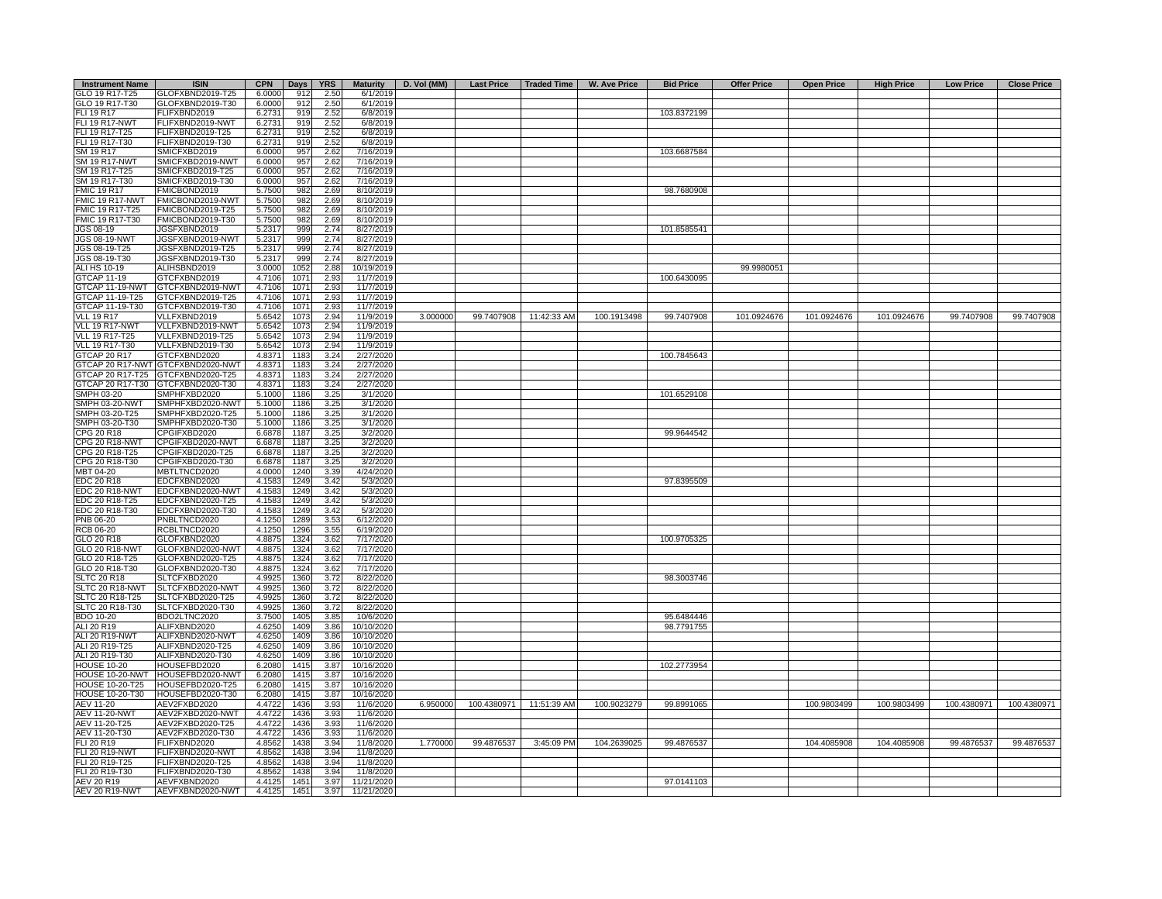| <b>Instrument Name</b> | <b>ISIN</b>                       | <b>CPN</b> | Days | <b>YRS</b> | <b>Maturity</b> | $\vert$ D. Vol (MM) |             | Last Price   Traded Time | <b>W. Ave Price</b> | <b>Bid Price</b> | <b>Offer Price</b> | <b>Open Price</b> | <b>High Price</b> | <b>Low Price</b> | <b>Close Price</b> |
|------------------------|-----------------------------------|------------|------|------------|-----------------|---------------------|-------------|--------------------------|---------------------|------------------|--------------------|-------------------|-------------------|------------------|--------------------|
| GLO 19 R17-T25         | GLOFXBND2019-T25                  | 6.0000     | 912  | 2.50       | 6/1/2019        |                     |             |                          |                     |                  |                    |                   |                   |                  |                    |
| GLO 19 R17-T30         | GLOFXBND2019-T30                  | 6.0000     | 912  | 2.50       | 6/1/2019        |                     |             |                          |                     |                  |                    |                   |                   |                  |                    |
| FLI 19 R17             | FLIFXBND2019                      | 6.2731     | 919  | 2.52       | 6/8/2019        |                     |             |                          |                     | 103.8372199      |                    |                   |                   |                  |                    |
| <b>FLI 19 R17-NWT</b>  | FLIFXBND2019-NWT                  | 6.2731     | 919  | 2.52       | 6/8/2019        |                     |             |                          |                     |                  |                    |                   |                   |                  |                    |
| FLI 19 R17-T25         | FLIFXBND2019-T25                  | 6.2731     | 919  | 2.52       | 6/8/2019        |                     |             |                          |                     |                  |                    |                   |                   |                  |                    |
| FLI 19 R17-T30         | FLIFXBND2019-T30                  | 6.2731     | 919  | 2.52       | 6/8/2019        |                     |             |                          |                     |                  |                    |                   |                   |                  |                    |
| SM 19 R17              | SMICFXBD2019                      | 6.0000     | 957  | 2.62       | 7/16/2019       |                     |             |                          |                     | 103.6687584      |                    |                   |                   |                  |                    |
| <b>SM 19 R17-NWT</b>   | SMICFXBD2019-NWT                  | 6.0000     | 957  | 2.62       | 7/16/2019       |                     |             |                          |                     |                  |                    |                   |                   |                  |                    |
| SM 19 R17-T25          | SMICFXBD2019-T25                  | 6.0000     | 957  | 2.62       | 7/16/2019       |                     |             |                          |                     |                  |                    |                   |                   |                  |                    |
| SM 19 R17-T30          | SMICFXBD2019-T30                  | 6.0000     | 957  | 2.62       | 7/16/2019       |                     |             |                          |                     |                  |                    |                   |                   |                  |                    |
| <b>FMIC 19 R17</b>     | FMICBOND2019                      | 5.7500     | 982  | 2.69       | 8/10/2019       |                     |             |                          |                     | 98.7680908       |                    |                   |                   |                  |                    |
| FMIC 19 R17-NWT        | FMICBOND2019-NWT                  | 5.7500     | 982  | 2.69       | 8/10/2019       |                     |             |                          |                     |                  |                    |                   |                   |                  |                    |
| FMIC 19 R17-T25        | FMICBOND2019-T25                  | 5.7500     | 982  | 2.69       | 8/10/2019       |                     |             |                          |                     |                  |                    |                   |                   |                  |                    |
| FMIC 19 R17-T30        |                                   |            | 982  | 2.69       | 8/10/2019       |                     |             |                          |                     |                  |                    |                   |                   |                  |                    |
|                        | FMICBOND2019-T30                  | 5.7500     |      |            |                 |                     |             |                          |                     | 101.8585541      |                    |                   |                   |                  |                    |
| JGS 08-19              | JGSFXBND2019                      | 5.2317     | 999  | 2.74       | 8/27/2019       |                     |             |                          |                     |                  |                    |                   |                   |                  |                    |
| JGS 08-19-NWT          | JGSFXBND2019-NWT                  | 5.2317     | 999  | 2.74       | 8/27/2019       |                     |             |                          |                     |                  |                    |                   |                   |                  |                    |
| JGS 08-19-T25          | JGSFXBND2019-T25                  | 5.2317     | 999  | 2.74       | 8/27/2019       |                     |             |                          |                     |                  |                    |                   |                   |                  |                    |
| JGS 08-19-T30          | JGSFXBND2019-T30                  | 5.2317     | 999  | 2.74       | 8/27/2019       |                     |             |                          |                     |                  |                    |                   |                   |                  |                    |
| ALI HS 10-19           | ALIHSBND2019                      | 3.0000     | 1052 | 2.88       | 10/19/2019      |                     |             |                          |                     |                  | 99.9980051         |                   |                   |                  |                    |
| <b>GTCAP 11-19</b>     | GTCFXBND2019                      | 4.7106     | 1071 | 2.93       | 11/7/2019       |                     |             |                          |                     | 100.6430095      |                    |                   |                   |                  |                    |
| GTCAP 11-19-NWT        | GTCFXBND2019-NWT                  | 4.7106     | 1071 | 2.93       | 11/7/2019       |                     |             |                          |                     |                  |                    |                   |                   |                  |                    |
| GTCAP 11-19-T25        | GTCFXBND2019-T25                  | 4.7106     | 1071 | 2.93       | 11/7/2019       |                     |             |                          |                     |                  |                    |                   |                   |                  |                    |
| GTCAP 11-19-T30        | GTCFXBND2019-T30                  | 4.7106     | 1071 | 2.93       | 11/7/2019       |                     |             |                          |                     |                  |                    |                   |                   |                  |                    |
| <b>VLL 19 R17</b>      | VLLFXBND2019                      | 5.6542     | 1073 | 2.94       | 11/9/2019       | 3.000000            |             | 99.7407908 11:42:33 AM   | 100.1913498         | 99.7407908       | 101.0924676        | 101.0924676       | 101.0924676       | 99.7407908       | 99.7407908         |
| VLL 19 R17-NWT         | VLLFXBND2019-NWT                  | 5.6542     | 1073 | 2.94       | 11/9/2019       |                     |             |                          |                     |                  |                    |                   |                   |                  |                    |
| VLL 19 R17-T25         | VLLFXBND2019-T25                  | 5.6542     | 1073 | 2.94       | 11/9/2019       |                     |             |                          |                     |                  |                    |                   |                   |                  |                    |
| VLL 19 R17-T30         | VLLFXBND2019-T30                  | 5.6542     | 1073 | 2.94       | 11/9/2019       |                     |             |                          |                     |                  |                    |                   |                   |                  |                    |
| <b>GTCAP 20 R17</b>    | GTCFXBND2020                      | 4.8371     | 1183 | 3.24       | 2/27/2020       |                     |             |                          |                     | 100.7845643      |                    |                   |                   |                  |                    |
|                        | GTCAP 20 R17-NWT GTCFXBND2020-NWT | 4.8371     | 1183 | 3.24       | 2/27/2020       |                     |             |                          |                     |                  |                    |                   |                   |                  |                    |
|                        | GTCAP 20 R17-T25 GTCFXBND2020-T25 | 4.8371     | 1183 | 3.24       | 2/27/2020       |                     |             |                          |                     |                  |                    |                   |                   |                  |                    |
|                        | GTCAP 20 R17-T30 GTCFXBND2020-T30 | 4.8371     | 1183 | 3.24       | 2/27/2020       |                     |             |                          |                     |                  |                    |                   |                   |                  |                    |
| SMPH 03-20             |                                   |            |      |            |                 |                     |             |                          |                     | 101.6529108      |                    |                   |                   |                  |                    |
|                        | SMPHFXBD2020                      | 5.1000     | 1186 | 3.25       | 3/1/2020        |                     |             |                          |                     |                  |                    |                   |                   |                  |                    |
| SMPH 03-20-NWT         | SMPHFXBD2020-NWT                  | 5.1000     | 1186 | 3.25       | 3/1/2020        |                     |             |                          |                     |                  |                    |                   |                   |                  |                    |
| SMPH 03-20-T25         | SMPHFXBD2020-T25                  | 5.1000     | 1186 | 3.25       | 3/1/2020        |                     |             |                          |                     |                  |                    |                   |                   |                  |                    |
| SMPH 03-20-T30         | SMPHFXBD2020-T30                  | 5.1000     | 1186 | 3.25       | 3/1/2020        |                     |             |                          |                     |                  |                    |                   |                   |                  |                    |
| CPG 20 R18             | CPGIFXBD2020                      | 6.6878     | 1187 | 3.25       | 3/2/2020        |                     |             |                          |                     | 99.9644542       |                    |                   |                   |                  |                    |
| CPG 20 R18-NWT         | CPGIFXBD2020-NWT                  | 6.6878     | 1187 | 3.25       | 3/2/2020        |                     |             |                          |                     |                  |                    |                   |                   |                  |                    |
| CPG 20 R18-T25         | CPGIFXBD2020-T25                  | 6.6878     | 1187 | 3.25       | 3/2/2020        |                     |             |                          |                     |                  |                    |                   |                   |                  |                    |
| CPG 20 R18-T30         | CPGIFXBD2020-T30                  | 6.6878     | 1187 | 3.25       | 3/2/2020        |                     |             |                          |                     |                  |                    |                   |                   |                  |                    |
| MBT 04-20              | MBTLTNCD2020                      | 4.0000     | 1240 | 3.39       | 4/24/2020       |                     |             |                          |                     |                  |                    |                   |                   |                  |                    |
| EDC 20 R18             | EDCFXBND2020                      | 4.1583     | 1249 | 3.42       | 5/3/2020        |                     |             |                          |                     | 97.8395509       |                    |                   |                   |                  |                    |
| EDC 20 R18-NWT         | EDCFXBND2020-NWT                  | 4.1583     | 1249 | 3.42       | 5/3/2020        |                     |             |                          |                     |                  |                    |                   |                   |                  |                    |
| EDC 20 R18-T25         | EDCFXBND2020-T25                  | 4.1583     | 1249 | 3.42       | 5/3/2020        |                     |             |                          |                     |                  |                    |                   |                   |                  |                    |
| EDC 20 R18-T30         | EDCFXBND2020-T30                  | 4.1583     | 1249 | 3.42       | 5/3/2020        |                     |             |                          |                     |                  |                    |                   |                   |                  |                    |
| PNB 06-20              | PNBLTNCD2020                      | 4.1250     | 1289 | 3.53       | 6/12/2020       |                     |             |                          |                     |                  |                    |                   |                   |                  |                    |
| <b>RCB 06-20</b>       | RCBLTNCD2020                      | 4.1250     | 1296 | 3.55       | 6/19/2020       |                     |             |                          |                     |                  |                    |                   |                   |                  |                    |
| GLO 20 R18             | GLOFXBND2020                      | 4.8875     | 1324 | 3.62       | 7/17/2020       |                     |             |                          |                     | 100.9705325      |                    |                   |                   |                  |                    |
| GLO 20 R18-NWT         | GLOFXBND2020-NWT                  | 4.8875     | 1324 |            |                 |                     |             |                          |                     |                  |                    |                   |                   |                  |                    |
|                        |                                   |            |      | 3.62       | 7/17/2020       |                     |             |                          |                     |                  |                    |                   |                   |                  |                    |
| GLO 20 R18-T25         | GLOFXBND2020-T25                  | 4.8875     | 1324 | 3.62       | 7/17/2020       |                     |             |                          |                     |                  |                    |                   |                   |                  |                    |
| GLO 20 R18-T30         | GLOFXBND2020-T30                  | 4.8875     | 1324 | 3.62       | 7/17/2020       |                     |             |                          |                     |                  |                    |                   |                   |                  |                    |
| <b>SLTC 20 R18</b>     | SLTCFXBD2020                      | 4.9925     | 1360 | 3.72       | 8/22/2020       |                     |             |                          |                     | 98.3003746       |                    |                   |                   |                  |                    |
| SLTC 20 R18-NWT        | SLTCFXBD2020-NWT                  | 4.9925     | 1360 | 3.72       | 8/22/2020       |                     |             |                          |                     |                  |                    |                   |                   |                  |                    |
| SLTC 20 R18-T25        | SLTCFXBD2020-T25                  | 4.9925     | 1360 | 3.72       | 8/22/2020       |                     |             |                          |                     |                  |                    |                   |                   |                  |                    |
| SLTC 20 R18-T30        | SLTCFXBD2020-T30                  | 4.9925     | 1360 | 3.72       | 8/22/2020       |                     |             |                          |                     |                  |                    |                   |                   |                  |                    |
| <b>BDO 10-20</b>       | BDO2LTNC2020                      | 3.7500     | 1405 | 3.85       | 10/6/2020       |                     |             |                          |                     | 95.6484446       |                    |                   |                   |                  |                    |
| ALI 20 R19             | ALIFXBND2020                      | 4.6250     | 1409 | 3.86       | 10/10/2020      |                     |             |                          |                     | 98.7791755       |                    |                   |                   |                  |                    |
| <b>ALI 20 R19-NWT</b>  | ALIFXBND2020-NWT                  | 4.6250     | 1409 | 3.86       | 10/10/2020      |                     |             |                          |                     |                  |                    |                   |                   |                  |                    |
| ALI 20 R19-T25         | ALIFXBND2020-T25                  | 4.6250     | 1409 | 3.86       | 10/10/2020      |                     |             |                          |                     |                  |                    |                   |                   |                  |                    |
| ALI 20 R19-T30         | ALIFXBND2020-T30                  | 4.6250     | 1409 | 3.86       | 10/10/2020      |                     |             |                          |                     |                  |                    |                   |                   |                  |                    |
| <b>HOUSE 10-20</b>     | HOUSEFBD2020                      | 6.2080     | 1415 | 3.87       | 10/16/2020      |                     |             |                          |                     | 102.2773954      |                    |                   |                   |                  |                    |
| HOUSE 10-20-NWT        | HOUSEFBD2020-NWT                  | 6.2080     | 1415 | 3.87       | 10/16/2020      |                     |             |                          |                     |                  |                    |                   |                   |                  |                    |
| <b>HOUSE 10-20-T25</b> | HOUSEFBD2020-T25                  | 6.2080     | 1415 | 3.87       | 10/16/2020      |                     |             |                          |                     |                  |                    |                   |                   |                  |                    |
| HOUSE 10-20-T30        | HOUSEFBD2020-T30                  | 6.2080     | 1415 | 3.87       | 10/16/2020      |                     |             |                          |                     |                  |                    |                   |                   |                  |                    |
| AEV 11-20              | AEV2FXBD2020                      | 4.4722     | 1436 | 3.93       | 11/6/2020       | 6.950000            | 100.4380971 | 11:51:39 AM              | 100.9023279         | 99.8991065       |                    | 100.9803499       | 100.9803499       | 100.4380971      | 100.4380971        |
|                        |                                   |            |      |            |                 |                     |             |                          |                     |                  |                    |                   |                   |                  |                    |
| <b>AEV 11-20-NWT</b>   | AEV2FXBD2020-NWT                  | 4.4722     | 1436 | 3.93       | 11/6/2020       |                     |             |                          |                     |                  |                    |                   |                   |                  |                    |
| AEV 11-20-T25          | AEV2FXBD2020-T25                  | 4.4722     | 1436 | 3.93       | 11/6/2020       |                     |             |                          |                     |                  |                    |                   |                   |                  |                    |
| AEV 11-20-T30          | AEV2FXBD2020-T30                  | 4.4722     | 1436 | 3.93       | 11/6/2020       |                     |             |                          |                     |                  |                    |                   |                   |                  |                    |
| FLI 20 R19             | FLIFXBND2020                      | 4.8562     | 1438 | 3.94       | 11/8/2020       | 1.770000            | 99.4876537  | 3:45:09 PM               | 104.2639025         | 99.4876537       |                    | 104.4085908       | 104.4085908       | 99.4876537       | 99.4876537         |
| <b>FLI 20 R19-NWT</b>  | FLIFXBND2020-NWT                  | 4.8562     | 1438 | 3.94       | 11/8/2020       |                     |             |                          |                     |                  |                    |                   |                   |                  |                    |
| FLI 20 R19-T25         | FLIFXBND2020-T25                  | 4.8562     | 1438 | 3.94       | 11/8/2020       |                     |             |                          |                     |                  |                    |                   |                   |                  |                    |
| FLI 20 R19-T30         | FLIFXBND2020-T30                  | 4.8562     | 1438 | 3.94       | 11/8/2020       |                     |             |                          |                     |                  |                    |                   |                   |                  |                    |
| AEV 20 R19             | AEVFXBND2020                      | 4.4125     | 1451 | 3.97       | 11/21/2020      |                     |             |                          |                     | 97.0141103       |                    |                   |                   |                  |                    |
| AEV 20 R19-NWT         | AEVFXBND2020-NWT                  | 4.4125     | 1451 | 3.97       | 11/21/2020      |                     |             |                          |                     |                  |                    |                   |                   |                  |                    |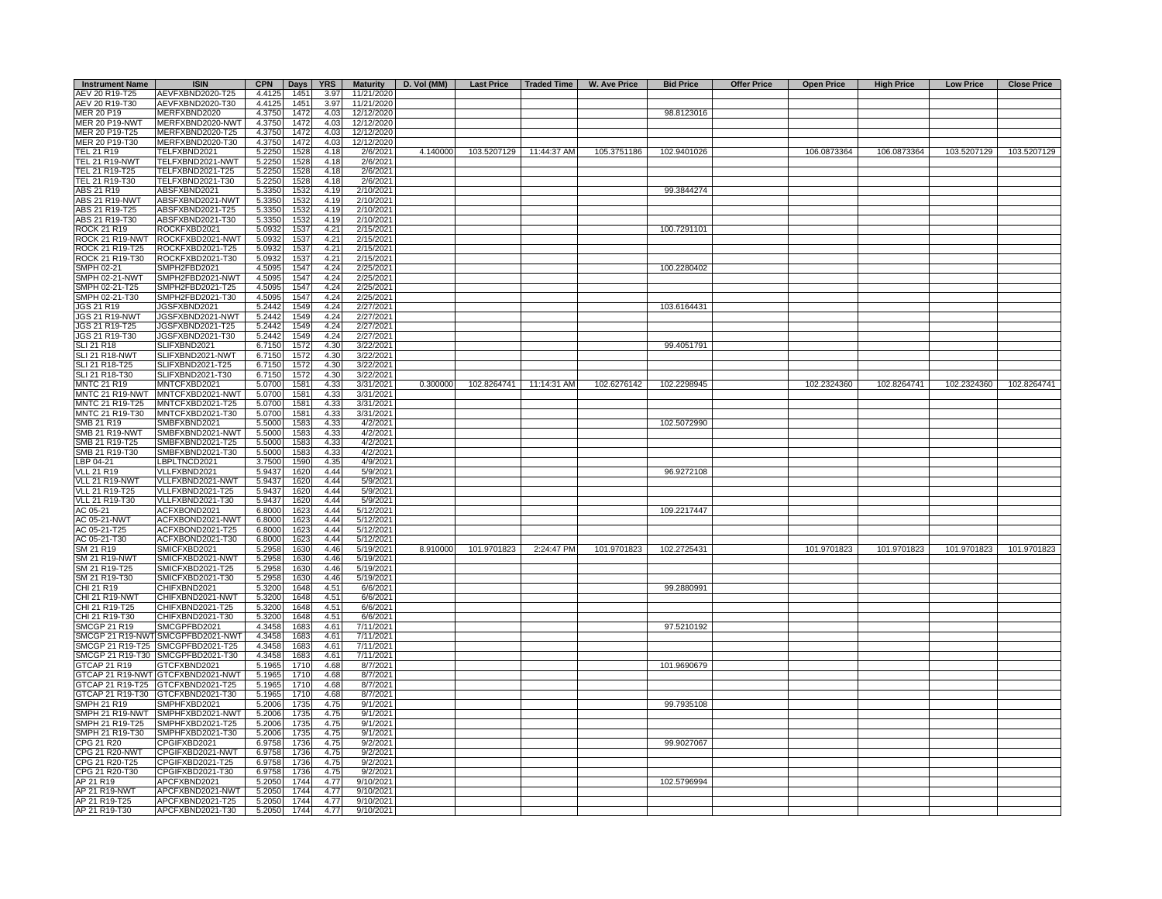| <b>Instrument Name</b> | <b>ISIN</b>                       |        | CPN Days | <b>YRS</b> |            | Maturity   D. Vol (MM) |             |                         | Last Price   Traded Time   W. Ave Price | <b>Bid Price</b> | <b>Offer Price</b> | <b>Open Price</b> | <b>High Price</b> | <b>Low Price</b> | <b>Close Price</b>      |
|------------------------|-----------------------------------|--------|----------|------------|------------|------------------------|-------------|-------------------------|-----------------------------------------|------------------|--------------------|-------------------|-------------------|------------------|-------------------------|
| AEV 20 R19-T25         | AEVFXBND2020-T25                  | 4.4125 | 1451     | 3.97       | 11/21/2020 |                        |             |                         |                                         |                  |                    |                   |                   |                  |                         |
| AEV 20 R19-T30         | AEVFXBND2020-T30                  | 4.4125 | 1451     | 3.97       | 11/21/2020 |                        |             |                         |                                         |                  |                    |                   |                   |                  |                         |
| MER 20 P19             | MERFXBND2020                      | 4.3750 | 1472     | 4.03       | 12/12/2020 |                        |             |                         |                                         | 98.8123016       |                    |                   |                   |                  |                         |
| <b>MER 20 P19-NWT</b>  | MERFXBND2020-NWT                  | 4.3750 | 1472     | 4.03       | 12/12/2020 |                        |             |                         |                                         |                  |                    |                   |                   |                  |                         |
| MER 20 P19-T25         | MERFXBND2020-T25                  | 4.3750 | 1472     | 4.03       | 12/12/2020 |                        |             |                         |                                         |                  |                    |                   |                   |                  |                         |
| MER 20 P19-T30         | MERFXBND2020-T30                  | 4.3750 | 1472     | 4.03       | 12/12/2020 |                        |             |                         |                                         |                  |                    |                   |                   |                  |                         |
| TEL 21 R19             | TELFXBND2021                      | 5.2250 | 1528     | 4.18       | 2/6/2021   | 4.140000               |             | 103.5207129 11:44:37 AM | 105.3751186                             | 102.9401026      |                    | 106.0873364       | 106.0873364       | 103.5207129      | 103.5207129             |
| <b>TEL 21 R19-NWT</b>  | TELFXBND2021-NWT                  | 5.2250 | 1528     | 4.18       | 2/6/2021   |                        |             |                         |                                         |                  |                    |                   |                   |                  |                         |
| TEL 21 R19-T25         | TELFXBND2021-T25                  | 5.2250 | 1528     | 4.18       | 2/6/2021   |                        |             |                         |                                         |                  |                    |                   |                   |                  |                         |
| TEL 21 R19-T30         | TELFXBND2021-T30                  | 5.2250 | 1528     | 4.18       | 2/6/2021   |                        |             |                         |                                         |                  |                    |                   |                   |                  |                         |
| ABS 21 R19             | ABSFXBND2021                      | 5.3350 | 1532     | 4.19       | 2/10/2021  |                        |             |                         |                                         | 99.3844274       |                    |                   |                   |                  |                         |
| <b>ABS 21 R19-NWT</b>  | ABSFXBND2021-NWT                  | 5.3350 | 1532     | 4.19       | 2/10/2021  |                        |             |                         |                                         |                  |                    |                   |                   |                  |                         |
| ABS 21 R19-T25         | ABSFXBND2021-T25                  | 5.3350 | 1532     | 4.19       | 2/10/2021  |                        |             |                         |                                         |                  |                    |                   |                   |                  |                         |
| ABS 21 R19-T30         | ABSFXBND2021-T30                  | 5.3350 | 1532     | 4.19       | 2/10/2021  |                        |             |                         |                                         |                  |                    |                   |                   |                  |                         |
| <b>ROCK 21 R19</b>     | ROCKFXBD2021                      | 5.0932 | 1537     | 4.21       | 2/15/2021  |                        |             |                         |                                         | 100.7291101      |                    |                   |                   |                  |                         |
|                        | ROCK 21 R19-NWT ROCKFXBD2021-NWT  | 5.0932 | 1537     | 4.21       | 2/15/2021  |                        |             |                         |                                         |                  |                    |                   |                   |                  |                         |
| ROCK 21 R19-T25        | ROCKFXBD2021-T25                  | 5.0932 | 1537     | 4.21       | 2/15/2021  |                        |             |                         |                                         |                  |                    |                   |                   |                  |                         |
| ROCK 21 R19-T30        | ROCKFXBD2021-T30                  | 5.0932 | 1537     | 4.21       | 2/15/2021  |                        |             |                         |                                         |                  |                    |                   |                   |                  |                         |
| SMPH 02-21             | SMPH2FBD2021                      | 4.5095 | 1547     | 4.24       | 2/25/2021  |                        |             |                         |                                         | 100.2280402      |                    |                   |                   |                  |                         |
| <b>SMPH 02-21-NWT</b>  | SMPH2FBD2021-NWT                  | 4.5095 | 1547     | 4.24       | 2/25/2021  |                        |             |                         |                                         |                  |                    |                   |                   |                  |                         |
| SMPH 02-21-T25         | SMPH2FBD2021-T25                  | 4.5095 | 1547     | 4.24       | 2/25/2021  |                        |             |                         |                                         |                  |                    |                   |                   |                  |                         |
| SMPH 02-21-T30         | SMPH2FBD2021-T30                  | 4.5095 | 1547     | 4.24       | 2/25/2021  |                        |             |                         |                                         |                  |                    |                   |                   |                  |                         |
| JGS 21 R19             | JGSFXBND2021                      | 5.2442 | 1549     | 4.24       | 2/27/2021  |                        |             |                         |                                         | 103.6164431      |                    |                   |                   |                  |                         |
| <b>JGS 21 R19-NWT</b>  | JGSFXBND2021-NWT                  | 5.2442 |          |            |            |                        |             |                         |                                         |                  |                    |                   |                   |                  |                         |
|                        |                                   |        | 1549     | 4.24       | 2/27/2021  |                        |             |                         |                                         |                  |                    |                   |                   |                  |                         |
| JGS 21 R19-T25         | JGSFXBND2021-T25                  | 5.2442 | 1549     | 4.24       | 2/27/2021  |                        |             |                         |                                         |                  |                    |                   |                   |                  |                         |
| JGS 21 R19-T30         | JGSFXBND2021-T30                  | 5.2442 | 1549     | 4.24       | 2/27/2021  |                        |             |                         |                                         |                  |                    |                   |                   |                  |                         |
| <b>SLI 21 R18</b>      | SLIFXBND2021                      | 6.7150 | 1572     | 4.30       | 3/22/2021  |                        |             |                         |                                         | 99.4051791       |                    |                   |                   |                  |                         |
| <b>SLI 21 R18-NWT</b>  | SLIFXBND2021-NWT                  | 6.7150 | 1572     | 4.30       | 3/22/2021  |                        |             |                         |                                         |                  |                    |                   |                   |                  |                         |
| SLI 21 R18-T25         | SLIFXBND2021-T25                  | 6.7150 | 1572     | 4.30       | 3/22/2021  |                        |             |                         |                                         |                  |                    |                   |                   |                  |                         |
| SLI 21 R18-T30         | SLIFXBND2021-T30                  | 6.7150 | 1572     | 4.30       | 3/22/2021  |                        |             |                         |                                         |                  |                    |                   |                   |                  |                         |
| <b>MNTC 21 R19</b>     | MNTCFXBD2021                      | 5.0700 | 1581     | 4.33       | 3/31/2021  | 0.300000               |             | 102.8264741 11:14:31 AM | 102.6276142                             | 102.2298945      |                    | 102.2324360       | 102.8264741       | 102.2324360      | 102.8264741             |
|                        | MNTC 21 R19-NWT MNTCFXBD2021-NWT  | 5.0700 | 1581     | 4.33       | 3/31/2021  |                        |             |                         |                                         |                  |                    |                   |                   |                  |                         |
| MNTC 21 R19-T25        | MNTCFXBD2021-T25                  | 5.0700 | 1581     | 4.33       | 3/31/2021  |                        |             |                         |                                         |                  |                    |                   |                   |                  |                         |
| MNTC 21 R19-T30        | MNTCFXBD2021-T30                  | 5.0700 | 1581     | 4.33       | 3/31/2021  |                        |             |                         |                                         |                  |                    |                   |                   |                  |                         |
| SMB 21 R19             | SMBFXBND2021                      | 5.5000 | 1583     | 4.33       | 4/2/2021   |                        |             |                         |                                         | 102.5072990      |                    |                   |                   |                  |                         |
| <b>SMB 21 R19-NWT</b>  | SMBFXBND2021-NWT                  | 5.5000 | 1583     | 4.33       | 4/2/2021   |                        |             |                         |                                         |                  |                    |                   |                   |                  |                         |
| SMB 21 R19-T25         | SMBFXBND2021-T25                  | 5.5000 | 1583     | 4.33       | 4/2/2021   |                        |             |                         |                                         |                  |                    |                   |                   |                  |                         |
| SMB 21 R19-T30         | SMBFXBND2021-T30                  | 5.5000 | 1583     | 4.33       | 4/2/2021   |                        |             |                         |                                         |                  |                    |                   |                   |                  |                         |
| LBP 04-21              | LBPLTNCD2021                      | 3.7500 | 1590     | 4.35       | 4/9/2021   |                        |             |                         |                                         |                  |                    |                   |                   |                  |                         |
| <b>VLL 21 R19</b>      | VLLFXBND2021                      | 5.9437 | 1620     | 4.44       | 5/9/2021   |                        |             |                         |                                         | 96.9272108       |                    |                   |                   |                  |                         |
| VLL 21 R19-NWT         | VLLFXBND2021-NWT                  | 5.9437 | 1620     | 4.44       | 5/9/2021   |                        |             |                         |                                         |                  |                    |                   |                   |                  |                         |
| VLL 21 R19-T25         | VLLFXBND2021-T25                  | 5.9437 | 1620     | 4.44       | 5/9/2021   |                        |             |                         |                                         |                  |                    |                   |                   |                  |                         |
| VLL 21 R19-T30         | VLLFXBND2021-T30                  | 5.9437 | 1620     | 4.44       | 5/9/2021   |                        |             |                         |                                         |                  |                    |                   |                   |                  |                         |
| AC 05-21               | ACFXBOND2021                      | 6.8000 | 1623     | 4.44       | 5/12/2021  |                        |             |                         |                                         | 109.2217447      |                    |                   |                   |                  |                         |
| AC 05-21-NWT           | ACFXBOND2021-NWT                  | 6.8000 | 1623     | 4.44       | 5/12/2021  |                        |             |                         |                                         |                  |                    |                   |                   |                  |                         |
| AC 05-21-T25           | ACFXBOND2021-T25                  | 6.8000 | 1623     | 4.44       | 5/12/2021  |                        |             |                         |                                         |                  |                    |                   |                   |                  |                         |
| AC 05-21-T30           | ACFXBOND2021-T30                  | 6.8000 | 1623     | 4.44       | 5/12/2021  |                        |             |                         |                                         |                  |                    |                   |                   |                  |                         |
| SM 21 R19              | SMICFXBD2021                      | 5.2958 | 1630     | 4.46       | 5/19/2021  | 8.910000               | 101.9701823 | 2:24:47 PM              | 101.9701823                             | 102.2725431      |                    | 101.9701823       | 101.9701823       |                  | 101.9701823 101.9701823 |
| SM 21 R19-NWT          | SMICFXBD2021-NWT                  | 5.2958 | 1630     | 4.46       | 5/19/2021  |                        |             |                         |                                         |                  |                    |                   |                   |                  |                         |
| SM 21 R19-T25          | SMICFXBD2021-T25                  | 5.2958 | 1630     | 4.46       | 5/19/2021  |                        |             |                         |                                         |                  |                    |                   |                   |                  |                         |
| SM 21 R19-T30          | SMICFXBD2021-T30                  | 5.2958 | 1630     | 4.46       | 5/19/2021  |                        |             |                         |                                         |                  |                    |                   |                   |                  |                         |
| CHI 21 R19             | CHIFXBND2021                      | 5.3200 | 1648     | 4.51       | 6/6/2021   |                        |             |                         |                                         | 99.2880991       |                    |                   |                   |                  |                         |
| CHI 21 R19-NWT         | CHIFXBND2021-NWT                  | 5.3200 | 1648     | 4.51       | 6/6/2021   |                        |             |                         |                                         |                  |                    |                   |                   |                  |                         |
| CHI 21 R19-T25         | CHIFXBND2021-T25                  | 5.3200 | 1648     | 4.51       | 6/6/2021   |                        |             |                         |                                         |                  |                    |                   |                   |                  |                         |
| CHI 21 R19-T30         | CHIFXBND2021-T30                  | 5.3200 | 1648     | 4.51       | 6/6/2021   |                        |             |                         |                                         |                  |                    |                   |                   |                  |                         |
| <b>SMCGP 21 R19</b>    | SMCGPFBD2021                      | 4.3458 | 1683     | 4.61       | 7/11/2021  |                        |             |                         |                                         |                  |                    |                   |                   |                  |                         |
|                        | SMCGP 21 R19-NWT SMCGPFBD2021-NWT | 4.3458 |          |            |            |                        |             |                         |                                         | 97.5210192       |                    |                   |                   |                  |                         |
|                        |                                   |        | 1683     | 4.61       | 7/11/2021  |                        |             |                         |                                         |                  |                    |                   |                   |                  |                         |
|                        | SMCGP 21 R19-T25 SMCGPFBD2021-T25 | 4.3458 | 1683     | 4.61       | 7/11/2021  |                        |             |                         |                                         |                  |                    |                   |                   |                  |                         |
|                        | SMCGP 21 R19-T30 SMCGPFBD2021-T30 | 4.3458 | 1683     | 4.61       | 7/11/2021  |                        |             |                         |                                         |                  |                    |                   |                   |                  |                         |
| GTCAP 21 R19           | GTCFXBND2021                      | 5.1965 | 1710     | 4.68       | 8/7/2021   |                        |             |                         |                                         | 101.9690679      |                    |                   |                   |                  |                         |
|                        | GTCAP 21 R19-NWT GTCFXBND2021-NWT | 5.1965 | 1710     | 4.68       | 8/7/2021   |                        |             |                         |                                         |                  |                    |                   |                   |                  |                         |
|                        | GTCAP 21 R19-T25 GTCFXBND2021-T25 | 5.1965 | 1710     | 4.68       | 8/7/2021   |                        |             |                         |                                         |                  |                    |                   |                   |                  |                         |
|                        | GTCAP 21 R19-T30 GTCFXBND2021-T30 | 5.1965 | 1710     | 4.68       | 8/7/2021   |                        |             |                         |                                         |                  |                    |                   |                   |                  |                         |
| SMPH 21 R19            | SMPHFXBD2021                      | 5.2006 | 1735     | 4.75       | 9/1/2021   |                        |             |                         |                                         | 99.7935108       |                    |                   |                   |                  |                         |
|                        | SMPH 21 R19-NWT SMPHFXBD2021-NWT  | 5.2006 | 1735     | 4.75       | 9/1/2021   |                        |             |                         |                                         |                  |                    |                   |                   |                  |                         |
| SMPH 21 R19-T25        | SMPHFXBD2021-T25                  | 5.2006 | 1735     | 4.75       | 9/1/2021   |                        |             |                         |                                         |                  |                    |                   |                   |                  |                         |
| SMPH 21 R19-T30        | SMPHFXBD2021-T30                  | 5.2006 | 1735     | 4.75       | 9/1/2021   |                        |             |                         |                                         |                  |                    |                   |                   |                  |                         |
| CPG 21 R20             | CPGIFXBD2021                      | 6.9758 | 1736     | 4.75       | 9/2/2021   |                        |             |                         |                                         | 99.9027067       |                    |                   |                   |                  |                         |
| CPG 21 R20-NWT         | CPGIFXBD2021-NWT                  | 6.9758 | 1736     | 4.75       | 9/2/2021   |                        |             |                         |                                         |                  |                    |                   |                   |                  |                         |
| CPG 21 R20-T25         | CPGIFXBD2021-T25                  | 6.9758 | 1736     | 4.75       | 9/2/2021   |                        |             |                         |                                         |                  |                    |                   |                   |                  |                         |
| CPG 21 R20-T30         | CPGIFXBD2021-T30                  | 6.9758 | 1736     | 4.75       | 9/2/2021   |                        |             |                         |                                         |                  |                    |                   |                   |                  |                         |
| AP 21 R19              | APCFXBND2021                      | 5.2050 | 1744     | 4.77       | 9/10/2021  |                        |             |                         |                                         | 102.5796994      |                    |                   |                   |                  |                         |
| AP 21 R19-NWT          | APCFXBND2021-NWT                  | 5.2050 | 1744     | 4.77       | 9/10/2021  |                        |             |                         |                                         |                  |                    |                   |                   |                  |                         |
| AP 21 R19-T25          | APCFXBND2021-T25                  | 5.2050 | 1744     | 4.77       | 9/10/2021  |                        |             |                         |                                         |                  |                    |                   |                   |                  |                         |
| AP 21 R19-T30          | APCFXBND2021-T30                  | 5.2050 | 1744     | 4.77       | 9/10/2021  |                        |             |                         |                                         |                  |                    |                   |                   |                  |                         |
|                        |                                   |        |          |            |            |                        |             |                         |                                         |                  |                    |                   |                   |                  |                         |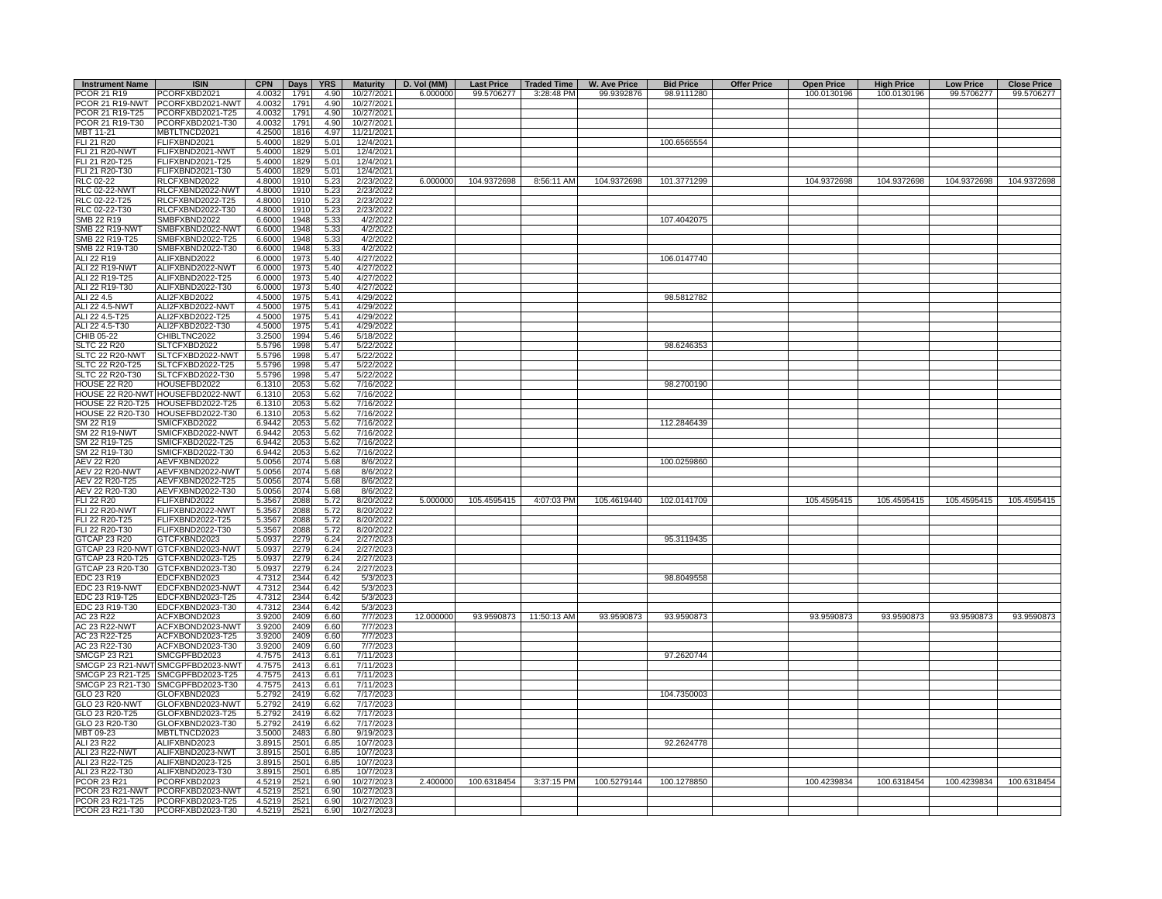| <b>Instrument Name</b> | <b>ISIN</b>                       | <b>CPN</b> | Days | <b>YRS</b> | <b>Maturity</b> | D. Vol (MM) | <b>Last Price</b> | <b>Traded Time</b>     | <b>W. Ave Price</b> | <b>Bid Price</b> | <b>Offer Price</b> | <b>Open Price</b> | <b>High Price</b> | <b>Low Price</b> | <b>Close Price</b> |
|------------------------|-----------------------------------|------------|------|------------|-----------------|-------------|-------------------|------------------------|---------------------|------------------|--------------------|-------------------|-------------------|------------------|--------------------|
| PCOR 21 R19            | PCORFXBD2021                      | 4.0032     | 1791 | 4.90       | 10/27/2021      | 6.000000    | 99.5706277        | 3:28:48 PM             | 99.9392876          | 98.9111280       |                    | 100.0130196       | 100.0130196       | 99.5706277       | 99.5706277         |
|                        | PCOR 21 R19-NWT PCORFXBD2021-NWT  | 4.0032     | 1791 | 4.90       | 10/27/2021      |             |                   |                        |                     |                  |                    |                   |                   |                  |                    |
| PCOR 21 R19-T25        | PCORFXBD2021-T25                  | 4.0032     | 1791 | 4.90       | 10/27/2021      |             |                   |                        |                     |                  |                    |                   |                   |                  |                    |
| PCOR 21 R19-T30        | PCORFXBD2021-T30                  | 4.0032     | 1791 | 4.90       | 10/27/2021      |             |                   |                        |                     |                  |                    |                   |                   |                  |                    |
| MBT 11-21              | MBTLTNCD2021                      | 4.2500     | 1816 | 4.97       | 11/21/2021      |             |                   |                        |                     |                  |                    |                   |                   |                  |                    |
| FLI 21 R20             | FLIFXBND2021                      | 5.4000     | 1829 | 5.01       | 12/4/2021       |             |                   |                        |                     | 100.6565554      |                    |                   |                   |                  |                    |
| <b>FLI 21 R20-NWT</b>  | FLIFXBND2021-NWT                  | 5.4000     | 1829 | 5.01       | 12/4/2021       |             |                   |                        |                     |                  |                    |                   |                   |                  |                    |
| FLI 21 R20-T25         | FLIFXBND2021-T25                  | 5.4000     | 1829 | 5.01       | 12/4/2021       |             |                   |                        |                     |                  |                    |                   |                   |                  |                    |
| FLI 21 R20-T30         | FLIFXBND2021-T30                  | 5.4000     | 1829 | 5.01       | 12/4/2021       |             |                   |                        |                     |                  |                    |                   |                   |                  |                    |
| <b>RLC 02-22</b>       | RLCFXBND2022                      | 4.8000     | 1910 | 5.23       | 2/23/2022       | 6.000000    | 104.9372698       | 8:56:11 AM             | 104.9372698         | 101.3771299      |                    | 104.9372698       | 104.9372698       | 104.9372698      | 104.9372698        |
| RLC 02-22-NWT          | RLCFXBND2022-NWT                  | 4.8000     | 1910 | 5.23       | 2/23/2022       |             |                   |                        |                     |                  |                    |                   |                   |                  |                    |
| RLC 02-22-T25          | RLCFXBND2022-T25                  | 4.8000     | 1910 | 5.23       | 2/23/2022       |             |                   |                        |                     |                  |                    |                   |                   |                  |                    |
| RLC 02-22-T30          | RLCFXBND2022-T30                  | 4.8000     | 1910 | 5.23       | 2/23/2022       |             |                   |                        |                     |                  |                    |                   |                   |                  |                    |
| SMB 22 R19             | SMBFXBND2022                      | 6.6000     | 1948 | 5.33       | 4/2/2022        |             |                   |                        |                     | 107.4042075      |                    |                   |                   |                  |                    |
|                        |                                   |            |      |            |                 |             |                   |                        |                     |                  |                    |                   |                   |                  |                    |
| <b>SMB 22 R19-NWT</b>  | SMBFXBND2022-NWT                  | 6.6000     | 1948 | 5.33       | 4/2/2022        |             |                   |                        |                     |                  |                    |                   |                   |                  |                    |
| SMB 22 R19-T25         | SMBFXBND2022-T25                  | 6.6000     | 1948 | 5.33       | 4/2/2022        |             |                   |                        |                     |                  |                    |                   |                   |                  |                    |
| SMB 22 R19-T30         | SMBFXBND2022-T30                  | 6.6000     | 1948 | 5.33       | 4/2/2022        |             |                   |                        |                     |                  |                    |                   |                   |                  |                    |
| ALI 22 R19             | ALIFXBND2022                      | 6.0000     | 1973 | 5.40       | 4/27/2022       |             |                   |                        |                     | 106.0147740      |                    |                   |                   |                  |                    |
| ALI 22 R19-NWT         | ALIFXBND2022-NWT                  | 6.0000     | 1973 | 5.40       | 4/27/2022       |             |                   |                        |                     |                  |                    |                   |                   |                  |                    |
| ALI 22 R19-T25         | ALIFXBND2022-T25                  | 6.0000     | 1973 | 5.40       | 4/27/2022       |             |                   |                        |                     |                  |                    |                   |                   |                  |                    |
| ALI 22 R19-T30         | ALIFXBND2022-T30                  | 6.0000     | 1973 | 5.40       | 4/27/2022       |             |                   |                        |                     |                  |                    |                   |                   |                  |                    |
| ALI 22 4.5             | ALI2FXBD2022                      | 4.5000     | 1975 | 5.41       | 4/29/2022       |             |                   |                        |                     | 98.5812782       |                    |                   |                   |                  |                    |
| ALI 22 4.5-NWT         | ALI2FXBD2022-NWT                  | 4.5000     | 1975 | 5.41       | 4/29/2022       |             |                   |                        |                     |                  |                    |                   |                   |                  |                    |
| ALI 22 4.5-T25         | ALI2FXBD2022-T25                  | 4.5000     | 1975 | 5.41       | 4/29/2022       |             |                   |                        |                     |                  |                    |                   |                   |                  |                    |
| ALI 22 4.5-T30         | ALI2FXBD2022-T30                  | 4.5000     | 1975 | 5.41       | 4/29/2022       |             |                   |                        |                     |                  |                    |                   |                   |                  |                    |
| CHIB 05-22             | CHIBLTNC2022                      | 3.2500     | 1994 | 5.46       | 5/18/2022       |             |                   |                        |                     |                  |                    |                   |                   |                  |                    |
| <b>SLTC 22 R20</b>     | SLTCFXBD2022                      | 5.5796     | 1998 | 5.47       | 5/22/2022       |             |                   |                        |                     | 98.6246353       |                    |                   |                   |                  |                    |
| SLTC 22 R20-NWT        | SLTCFXBD2022-NWT                  | 5.5796     | 1998 | 5.47       | 5/22/2022       |             |                   |                        |                     |                  |                    |                   |                   |                  |                    |
| SLTC 22 R20-T25        | SLTCFXBD2022-T25                  | 5.5796     | 1998 | 5.47       | 5/22/2022       |             |                   |                        |                     |                  |                    |                   |                   |                  |                    |
|                        | SLTCFXBD2022-T30                  |            |      | 5.47       | 5/22/2022       |             |                   |                        |                     |                  |                    |                   |                   |                  |                    |
| SLTC 22 R20-T30        |                                   | 5.5796     | 1998 |            |                 |             |                   |                        |                     |                  |                    |                   |                   |                  |                    |
| HOUSE 22 R20           | HOUSEFBD2022                      | 6.1310     | 2053 | 5.62       | 7/16/2022       |             |                   |                        |                     | 98.2700190       |                    |                   |                   |                  |                    |
|                        | HOUSE 22 R20-NWT HOUSEFBD2022-NWT | 6.1310     | 2053 | 5.62       | 7/16/2022       |             |                   |                        |                     |                  |                    |                   |                   |                  |                    |
|                        | HOUSE 22 R20-T25 HOUSEFBD2022-T25 | 6.1310     | 2053 | 5.62       | 7/16/2022       |             |                   |                        |                     |                  |                    |                   |                   |                  |                    |
|                        | HOUSE 22 R20-T30 HOUSEFBD2022-T30 | 6.1310     | 2053 | 5.62       | 7/16/2022       |             |                   |                        |                     |                  |                    |                   |                   |                  |                    |
| SM 22 R19              | SMICFXBD2022                      | 6.9442     | 2053 | 5.62       | 7/16/2022       |             |                   |                        |                     | 112.2846439      |                    |                   |                   |                  |                    |
| <b>SM 22 R19-NWT</b>   | SMICFXBD2022-NWT                  | 6.9442     | 2053 | 5.62       | 7/16/2022       |             |                   |                        |                     |                  |                    |                   |                   |                  |                    |
| SM 22 R19-T25          | SMICFXBD2022-T25                  | 6.9442     | 2053 | 5.62       | 7/16/2022       |             |                   |                        |                     |                  |                    |                   |                   |                  |                    |
| SM 22 R19-T30          | SMICFXBD2022-T30                  | 6.9442     | 2053 | 5.62       | 7/16/2022       |             |                   |                        |                     |                  |                    |                   |                   |                  |                    |
| AEV 22 R20             | AEVFXBND2022                      | 5.0056     | 2074 | 5.68       | 8/6/2022        |             |                   |                        |                     | 100.0259860      |                    |                   |                   |                  |                    |
| <b>AEV 22 R20-NWT</b>  | AEVFXBND2022-NWT                  | 5.0056     | 2074 | 5.68       | 8/6/2022        |             |                   |                        |                     |                  |                    |                   |                   |                  |                    |
| AEV 22 R20-T25         | AEVFXBND2022-T25                  | 5.0056     | 2074 | 5.68       | 8/6/2022        |             |                   |                        |                     |                  |                    |                   |                   |                  |                    |
| AEV 22 R20-T30         | AEVFXBND2022-T30                  | 5.0056     | 2074 | 5.68       | 8/6/2022        |             |                   |                        |                     |                  |                    |                   |                   |                  |                    |
| FLI 22 R20             | FLIFXBND2022                      | 5.3567     | 2088 | 5.72       | 8/20/2022       | 5.000000    | 105.4595415       | 4:07:03 PM             | 105.4619440         | 102.0141709      |                    | 105.4595415       | 105.4595415       | 105.4595415      | 105.4595415        |
| <b>FLI 22 R20-NWT</b>  | FLIFXBND2022-NWT                  | 5.3567     | 2088 | 5.72       | 8/20/2022       |             |                   |                        |                     |                  |                    |                   |                   |                  |                    |
| FLI 22 R20-T25         | FLIFXBND2022-T25                  | 5.3567     | 2088 | 5.72       | 8/20/2022       |             |                   |                        |                     |                  |                    |                   |                   |                  |                    |
|                        |                                   |            |      |            |                 |             |                   |                        |                     |                  |                    |                   |                   |                  |                    |
| FLI 22 R20-T30         | FLIFXBND2022-T30                  | 5.3567     | 2088 | 5.72       | 8/20/2022       |             |                   |                        |                     |                  |                    |                   |                   |                  |                    |
| GTCAP 23 R20           | GTCFXBND2023                      | 5.0937     | 2279 | 6.24       | 2/27/2023       |             |                   |                        |                     | 95.3119435       |                    |                   |                   |                  |                    |
|                        | GTCAP 23 R20-NWT GTCFXBND2023-NWT | 5.0937     | 2279 | 6.24       | 2/27/2023       |             |                   |                        |                     |                  |                    |                   |                   |                  |                    |
|                        | GTCAP 23 R20-T25 GTCFXBND2023-T25 | 5.0937     | 2279 | 6.24       | 2/27/2023       |             |                   |                        |                     |                  |                    |                   |                   |                  |                    |
|                        | GTCAP 23 R20-T30 GTCFXBND2023-T30 | 5.0937     | 2279 | 6.24       | 2/27/2023       |             |                   |                        |                     |                  |                    |                   |                   |                  |                    |
| EDC 23 R19             | EDCFXBND2023                      | 4.7312     | 2344 | 6.42       | 5/3/2023        |             |                   |                        |                     | 98.8049558       |                    |                   |                   |                  |                    |
| EDC 23 R19-NWT         | EDCFXBND2023-NWT                  | 4.7312     | 2344 | 6.42       | 5/3/2023        |             |                   |                        |                     |                  |                    |                   |                   |                  |                    |
| EDC 23 R19-T25         | EDCFXBND2023-T25                  | 4.7312     | 2344 | 6.42       | 5/3/2023        |             |                   |                        |                     |                  |                    |                   |                   |                  |                    |
| EDC 23 R19-T30         | EDCFXBND2023-T30                  | 4.7312     | 2344 | 6.42       | 5/3/2023        |             |                   |                        |                     |                  |                    |                   |                   |                  |                    |
| AC 23 R22              | ACFXBOND2023                      | 3.9200     | 2409 | 6.60       | 7/7/2023        | 12.000000   |                   | 93.9590873 11:50:13 AM | 93.9590873          | 93.9590873       |                    | 93.9590873        | 93.9590873        | 93.9590873       | 93.9590873         |
| <b>AC 23 R22-NWT</b>   | ACFXBOND2023-NWT                  | 3.9200     | 2409 | 6.60       | 7/7/2023        |             |                   |                        |                     |                  |                    |                   |                   |                  |                    |
| AC 23 R22-T25          | ACFXBOND2023-T25                  | 3.9200     | 2409 | 6.60       | 7/7/2023        |             |                   |                        |                     |                  |                    |                   |                   |                  |                    |
| AC 23 R22-T30          | ACFXBOND2023-T30                  | 3.9200     | 2409 | 6.60       | 7/7/2023        |             |                   |                        |                     |                  |                    |                   |                   |                  |                    |
| <b>SMCGP 23 R21</b>    | SMCGPFBD2023                      | 4.7575     | 2413 | 6.61       | 7/11/2023       |             |                   |                        |                     | 97.2620744       |                    |                   |                   |                  |                    |
|                        | SMCGP 23 R21-NWT SMCGPFBD2023-NWT | 4.7575     | 2413 | 6.61       | 7/11/2023       |             |                   |                        |                     |                  |                    |                   |                   |                  |                    |
|                        |                                   |            |      |            |                 |             |                   |                        |                     |                  |                    |                   |                   |                  |                    |
|                        | SMCGP 23 R21-T25 SMCGPFBD2023-T25 | 4.7575     | 2413 | 6.61       | 7/11/2023       |             |                   |                        |                     |                  |                    |                   |                   |                  |                    |
|                        | SMCGP 23 R21-T30 SMCGPFBD2023-T30 | 4.7575     | 2413 | 6.61       | 7/11/2023       |             |                   |                        |                     |                  |                    |                   |                   |                  |                    |
| GLO 23 R20             | GLOFXBND2023                      | 5.2792     | 2419 | 6.62       | 7/17/2023       |             |                   |                        |                     | 104.7350003      |                    |                   |                   |                  |                    |
| GLO 23 R20-NWT         | GLOFXBND2023-NWT                  | 5.2792     | 2419 | 6.62       | 7/17/2023       |             |                   |                        |                     |                  |                    |                   |                   |                  |                    |
| GLO 23 R20-T25         | GLOFXBND2023-T25                  | 5.2792     | 2419 | 6.62       | 7/17/2023       |             |                   |                        |                     |                  |                    |                   |                   |                  |                    |
| GLO 23 R20-T30         | GLOFXBND2023-T30                  | 5.2792     | 2419 | 6.62       | 7/17/2023       |             |                   |                        |                     |                  |                    |                   |                   |                  |                    |
| MBT 09-23              | MBTLTNCD2023                      | 3.5000     | 2483 | 6.80       | 9/19/2023       |             |                   |                        |                     |                  |                    |                   |                   |                  |                    |
| ALI 23 R22             | ALIFXBND2023                      | 3.8915     | 2501 | 6.85       | 10/7/2023       |             |                   |                        |                     | 92.2624778       |                    |                   |                   |                  |                    |
| ALI 23 R22-NWT         | ALIFXBND2023-NWT                  | 3.8915     | 2501 | 6.85       | 10/7/2023       |             |                   |                        |                     |                  |                    |                   |                   |                  |                    |
| ALI 23 R22-T25         | ALIFXBND2023-T25                  | 3.8915     | 2501 | 6.85       | 10/7/2023       |             |                   |                        |                     |                  |                    |                   |                   |                  |                    |
| ALI 23 R22-T30         | ALIFXBND2023-T30                  | 3.8915     | 2501 | 6.85       | 10/7/2023       |             |                   |                        |                     |                  |                    |                   |                   |                  |                    |
| <b>PCOR 23 R21</b>     | PCORFXBD2023                      | 4.5219     | 2521 | 6.90       | 10/27/2023      | 2.400000    | 100.6318454       | 3:37:15 PM             | 100.5279144         | 100.1278850      |                    | 100.4239834       | 100.6318454       | 100.4239834      | 100.6318454        |
|                        |                                   |            |      |            |                 |             |                   |                        |                     |                  |                    |                   |                   |                  |                    |
|                        | PCOR 23 R21-NWT PCORFXBD2023-NWT  | 4.5219     | 2521 | 6.90       | 10/27/2023      |             |                   |                        |                     |                  |                    |                   |                   |                  |                    |
|                        | PCOR 23 R21-T25 PCORFXBD2023-T25  | 4.5219     | 2521 | 6.90       | 10/27/2023      |             |                   |                        |                     |                  |                    |                   |                   |                  |                    |
| PCOR 23 R21-T30        | PCORFXBD2023-T30                  | 4.5219     | 2521 | 6.90       | 10/27/2023      |             |                   |                        |                     |                  |                    |                   |                   |                  |                    |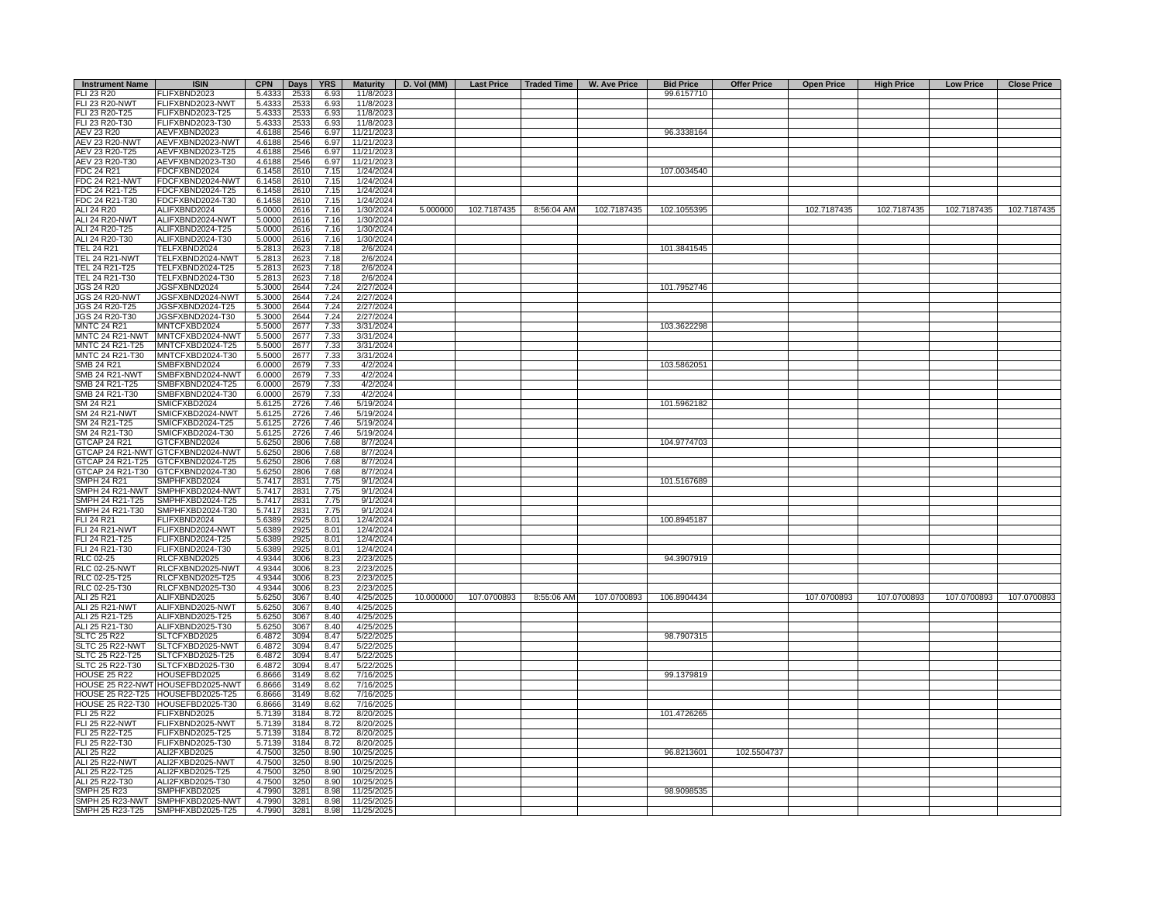| <b>Instrument Name</b> | <b>ISIN</b>                       | <b>CPN</b> | Days | <b>YRS</b> | <b>Maturity</b> | D. Vol (MM) |             |            | Last Price   Traded Time   W. Ave Price | <b>Bid Price</b> | <b>Offer Price</b> | <b>Open Price</b> | <b>High Price</b> | <b>Low Price</b> | <b>Close Price</b> |
|------------------------|-----------------------------------|------------|------|------------|-----------------|-------------|-------------|------------|-----------------------------------------|------------------|--------------------|-------------------|-------------------|------------------|--------------------|
| FLI 23 R20             | FLIFXBND2023                      | 5.4333     | 2533 | 6.93       | 11/8/2023       |             |             |            |                                         | 99.6157710       |                    |                   |                   |                  |                    |
| <b>FLI 23 R20-NWT</b>  | FLIFXBND2023-NWT                  | 5.4333     | 2533 | 6.93       | 11/8/2023       |             |             |            |                                         |                  |                    |                   |                   |                  |                    |
| FLI 23 R20-T25         | FLIFXBND2023-T25                  | 5.4333     | 2533 | 6.93       | 11/8/2023       |             |             |            |                                         |                  |                    |                   |                   |                  |                    |
| FLI 23 R20-T30         | FLIFXBND2023-T30                  | 5.4333     | 2533 | 6.93       | 11/8/2023       |             |             |            |                                         |                  |                    |                   |                   |                  |                    |
| <b>AEV 23 R20</b>      | AEVFXBND2023                      | 4.6188     | 2546 | 6.97       | 11/21/2023      |             |             |            |                                         | 96.3338164       |                    |                   |                   |                  |                    |
| <b>AEV 23 R20-NWT</b>  | AEVFXBND2023-NWT                  | 4.6188     | 2546 | 6.97       | 11/21/2023      |             |             |            |                                         |                  |                    |                   |                   |                  |                    |
| AEV 23 R20-T25         | AEVFXBND2023-T25                  | 4.6188     | 2546 | 6.97       | 11/21/2023      |             |             |            |                                         |                  |                    |                   |                   |                  |                    |
| AEV 23 R20-T30         | AEVFXBND2023-T30                  | 4.6188     | 2546 | 6.97       | 11/21/2023      |             |             |            |                                         |                  |                    |                   |                   |                  |                    |
| FDC 24 R21             | FDCFXBND2024                      | 6.1458     | 2610 | 7.15       | 1/24/2024       |             |             |            |                                         | 107.0034540      |                    |                   |                   |                  |                    |
| <b>FDC 24 R21-NWT</b>  | FDCFXBND2024-NWT                  | 6.1458     | 2610 | 7.15       | 1/24/2024       |             |             |            |                                         |                  |                    |                   |                   |                  |                    |
| FDC 24 R21-T25         | FDCFXBND2024-T25                  | 6.1458     | 2610 | 7.15       | 1/24/2024       |             |             |            |                                         |                  |                    |                   |                   |                  |                    |
| FDC 24 R21-T30         | FDCFXBND2024-T30                  | 6.1458     | 2610 | 7.15       | 1/24/2024       |             |             |            |                                         |                  |                    |                   |                   |                  |                    |
| ALI 24 R20             | ALIFXBND2024                      | 5.0000     | 2616 | 7.16       | 1/30/2024       | 5.000000    | 102.7187435 | 8:56:04 AM | 102.7187435                             | 102.1055395      |                    | 102.7187435       | 102.7187435       | 102.7187435      | 102.7187435        |
| <b>ALI 24 R20-NWT</b>  | ALIFXBND2024-NWT                  | 5.0000     | 2616 | 7.16       | 1/30/2024       |             |             |            |                                         |                  |                    |                   |                   |                  |                    |
| ALI 24 R20-T25         | ALIFXBND2024-T25                  | 5.0000     | 2616 | 7.16       | 1/30/2024       |             |             |            |                                         |                  |                    |                   |                   |                  |                    |
| ALI 24 R20-T30         | ALIFXBND2024-T30                  | 5.0000     | 2616 | 7.16       | 1/30/2024       |             |             |            |                                         |                  |                    |                   |                   |                  |                    |
| <b>TEL 24 R21</b>      | TELFXBND2024                      | 5.2813     | 2623 | 7.18       | 2/6/2024        |             |             |            |                                         | 101.3841545      |                    |                   |                   |                  |                    |
|                        | TELFXBND2024-NWT                  |            |      | 7.18       |                 |             |             |            |                                         |                  |                    |                   |                   |                  |                    |
| <b>TEL 24 R21-NWT</b>  |                                   | 5.2813     | 2623 | 7.18       | 2/6/2024        |             |             |            |                                         |                  |                    |                   |                   |                  |                    |
| TEL 24 R21-T25         | TELFXBND2024-T25                  | 5.2813     | 2623 |            | 2/6/2024        |             |             |            |                                         |                  |                    |                   |                   |                  |                    |
| TEL 24 R21-T30         | TELFXBND2024-T30                  | 5.2813     | 2623 | 7.18       | 2/6/2024        |             |             |            |                                         |                  |                    |                   |                   |                  |                    |
| <b>JGS 24 R20</b>      | JGSFXBND2024                      | 5.3000     | 2644 | 7.24       | 2/27/2024       |             |             |            |                                         | 101.7952746      |                    |                   |                   |                  |                    |
| <b>JGS 24 R20-NWT</b>  | JGSFXBND2024-NWT                  | 5.3000     | 2644 | 7.24       | 2/27/2024       |             |             |            |                                         |                  |                    |                   |                   |                  |                    |
| JGS 24 R20-T25         | JGSFXBND2024-T25                  | 5.3000     | 2644 | 7.24       | 2/27/2024       |             |             |            |                                         |                  |                    |                   |                   |                  |                    |
| JGS 24 R20-T30         | JGSFXBND2024-T30                  | 5.3000     | 2644 | 7.24       | 2/27/2024       |             |             |            |                                         |                  |                    |                   |                   |                  |                    |
| <b>MNTC 24 R21</b>     | MNTCFXBD2024                      | 5.5000     | 2677 | 7.33       | 3/31/2024       |             |             |            |                                         | 103.3622298      |                    |                   |                   |                  |                    |
| MNTC 24 R21-NWT        | MNTCFXBD2024-NWT                  | 5.5000     | 2677 | 7.33       | 3/31/2024       |             |             |            |                                         |                  |                    |                   |                   |                  |                    |
| MNTC 24 R21-T25        | MNTCFXBD2024-T25                  | 5.5000     | 2677 | 7.33       | 3/31/2024       |             |             |            |                                         |                  |                    |                   |                   |                  |                    |
| MNTC 24 R21-T30        | MNTCFXBD2024-T30                  | 5.5000     | 2677 | 7.33       | 3/31/2024       |             |             |            |                                         |                  |                    |                   |                   |                  |                    |
| SMB 24 R21             | SMBFXBND2024                      | 6.0000     | 2679 | 7.33       | 4/2/2024        |             |             |            |                                         | 103.5862051      |                    |                   |                   |                  |                    |
| <b>SMB 24 R21-NWT</b>  | SMBFXBND2024-NWT                  | 6.0000     | 2679 | 7.33       | 4/2/2024        |             |             |            |                                         |                  |                    |                   |                   |                  |                    |
| SMB 24 R21-T25         | SMBFXBND2024-T25                  | 6.0000     | 2679 | 7.33       | 4/2/2024        |             |             |            |                                         |                  |                    |                   |                   |                  |                    |
| SMB 24 R21-T30         | SMBFXBND2024-T30                  | 6.0000     | 2679 | 7.33       | 4/2/2024        |             |             |            |                                         |                  |                    |                   |                   |                  |                    |
| SM 24 R21              | SMICFXBD2024                      |            |      |            |                 |             |             |            |                                         |                  |                    |                   |                   |                  |                    |
|                        |                                   | 5.6125     | 2726 | 7.46       | 5/19/2024       |             |             |            |                                         | 101.5962182      |                    |                   |                   |                  |                    |
| <b>SM 24 R21-NWT</b>   | SMICFXBD2024-NWT                  | 5.6125     | 2726 | 7.46       | 5/19/2024       |             |             |            |                                         |                  |                    |                   |                   |                  |                    |
| SM 24 R21-T25          | SMICFXBD2024-T25                  | 5.6125     | 2726 | 7.46       | 5/19/2024       |             |             |            |                                         |                  |                    |                   |                   |                  |                    |
| SM 24 R21-T30          | SMICFXBD2024-T30                  | 5.6125     | 2726 | 746        | 5/19/2024       |             |             |            |                                         |                  |                    |                   |                   |                  |                    |
| <b>GTCAP 24 R21</b>    | GTCFXBND2024                      | 5.6250     | 2806 | 7.68       | 8/7/2024        |             |             |            |                                         | 104.9774703      |                    |                   |                   |                  |                    |
|                        | GTCAP 24 R21-NWT GTCFXBND2024-NWT | 5.6250     | 2806 | 7.68       | 8/7/2024        |             |             |            |                                         |                  |                    |                   |                   |                  |                    |
|                        | GTCAP 24 R21-T25 GTCFXBND2024-T25 | 5.6250     | 2806 | 7.68       | 8/7/2024        |             |             |            |                                         |                  |                    |                   |                   |                  |                    |
| GTCAP 24 R21-T30       | GTCFXBND2024-T30                  | 5.6250     | 2806 | 7.68       | 8/7/2024        |             |             |            |                                         |                  |                    |                   |                   |                  |                    |
| <b>SMPH 24 R21</b>     | SMPHFXBD2024                      | 5.7417     | 2831 | 7.75       | 9/1/2024        |             |             |            |                                         | 101.5167689      |                    |                   |                   |                  |                    |
| SMPH 24 R21-NWT        | SMPHFXBD2024-NWT                  | 5.7417     | 2831 | 7.75       | 9/1/2024        |             |             |            |                                         |                  |                    |                   |                   |                  |                    |
| SMPH 24 R21-T25        | SMPHFXBD2024-T25                  | 5.7417     | 2831 | 7.75       | 9/1/2024        |             |             |            |                                         |                  |                    |                   |                   |                  |                    |
| SMPH 24 R21-T30        | SMPHFXBD2024-T30                  | 5.7417     | 2831 | 7.75       | 9/1/2024        |             |             |            |                                         |                  |                    |                   |                   |                  |                    |
| <b>FLI 24 R21</b>      | FLIFXBND2024                      | 5.6389     | 2925 | 8.01       | 12/4/2024       |             |             |            |                                         | 100.8945187      |                    |                   |                   |                  |                    |
| FLI 24 R21-NWT         | FLIFXBND2024-NWT                  | 5.6389     | 2925 | 8.01       | 12/4/2024       |             |             |            |                                         |                  |                    |                   |                   |                  |                    |
| FLI 24 R21-T25         | FLIFXBND2024-T25                  | 5.6389     | 2925 | 8.01       | 12/4/2024       |             |             |            |                                         |                  |                    |                   |                   |                  |                    |
| FLI 24 R21-T30         | FLIFXBND2024-T30                  | 5.6389     | 2925 | 8.01       | 12/4/2024       |             |             |            |                                         |                  |                    |                   |                   |                  |                    |
| RLC 02-25              | RLCFXBND2025                      | 4.9344     | 3006 | 8.23       | 2/23/2025       |             |             |            |                                         | 94.3907919       |                    |                   |                   |                  |                    |
| <b>RLC 02-25-NWT</b>   | RLCFXBND2025-NWT                  | 4.9344     | 3006 | 8.23       | 2/23/2025       |             |             |            |                                         |                  |                    |                   |                   |                  |                    |
|                        |                                   |            |      |            |                 |             |             |            |                                         |                  |                    |                   |                   |                  |                    |
| RLC 02-25-T25          | RLCFXBND2025-T25                  | 4.9344     | 3006 | 8.23       | 2/23/2025       |             |             |            |                                         |                  |                    |                   |                   |                  |                    |
| RLC 02-25-T30          | RLCFXBND2025-T30                  | 4.9344     | 3006 | 8.23       | 2/23/2025       |             |             |            |                                         |                  |                    |                   |                   |                  |                    |
| ALI 25 R21             | ALIFXBND2025                      | 5.6250     | 3067 | 8.40       | 4/25/2025       | 10.000000   | 107.0700893 | 8:55:06 AM | 107.0700893                             | 106.8904434      |                    | 107.0700893       | 107.0700893       | 107.0700893      | 107.0700893        |
| <b>ALI 25 R21-NWT</b>  | ALIFXBND2025-NWT                  | 5.6250     | 3067 | 8.40       | 4/25/2025       |             |             |            |                                         |                  |                    |                   |                   |                  |                    |
| ALI 25 R21-T25         | ALIFXBND2025-T25                  | 5.6250     | 3067 | 8.40       | 4/25/2025       |             |             |            |                                         |                  |                    |                   |                   |                  |                    |
| ALI 25 R21-T30         | ALIFXBND2025-T30                  | 5.6250     | 3067 | 8.40       | 4/25/2025       |             |             |            |                                         |                  |                    |                   |                   |                  |                    |
| <b>SLTC 25 R22</b>     | SLTCFXBD2025                      | 6.4872     | 3094 | 8.47       | 5/22/2025       |             |             |            |                                         | 98.7907315       |                    |                   |                   |                  |                    |
| SLTC 25 R22-NWT        | SLTCFXBD2025-NWT                  | 6.4872     | 3094 | 8.47       | 5/22/2025       |             |             |            |                                         |                  |                    |                   |                   |                  |                    |
| SLTC 25 R22-T25        | SLTCFXBD2025-T25                  | 6.4872     | 3094 | 8.47       | 5/22/2025       |             |             |            |                                         |                  |                    |                   |                   |                  |                    |
| SLTC 25 R22-T30        | SLTCFXBD2025-T30                  | 6.4872     | 3094 | 8.47       | 5/22/2025       |             |             |            |                                         |                  |                    |                   |                   |                  |                    |
| <b>HOUSE 25 R22</b>    | HOUSEFBD2025                      | 6.8666     | 3149 | 8.62       | 7/16/2025       |             |             |            |                                         | 99.1379819       |                    |                   |                   |                  |                    |
|                        | HOUSE 25 R22-NWT HOUSEFBD2025-NWT | 6.8666     | 3149 | 8.62       | 7/16/2025       |             |             |            |                                         |                  |                    |                   |                   |                  |                    |
|                        | HOUSE 25 R22-T25 HOUSEFBD2025-T25 | 6.8666     | 3149 | 8.62       | 7/16/2025       |             |             |            |                                         |                  |                    |                   |                   |                  |                    |
|                        | HOUSE 25 R22-T30 HOUSEFBD2025-T30 | 6.8666     | 3149 | 8.62       | 7/16/2025       |             |             |            |                                         |                  |                    |                   |                   |                  |                    |
| <b>FLI 25 R22</b>      | FLIFXBND2025                      | 5.7139     | 3184 | 8.72       | 8/20/2025       |             |             |            |                                         | 101.4726265      |                    |                   |                   |                  |                    |
| FLI 25 R22-NWT         | FLIFXBND2025-NWT                  | 5.7139     | 3184 | 8.72       | 8/20/2025       |             |             |            |                                         |                  |                    |                   |                   |                  |                    |
| FLI 25 R22-T25         | FLIFXBND2025-T25                  | 5.7139     | 3184 | 8.72       | 8/20/2025       |             |             |            |                                         |                  |                    |                   |                   |                  |                    |
|                        |                                   |            |      |            |                 |             |             |            |                                         |                  |                    |                   |                   |                  |                    |
| FLI 25 R22-T30         | FLIFXBND2025-T30                  | 5.7139     | 3184 | 8.72       | 8/20/2025       |             |             |            |                                         |                  |                    |                   |                   |                  |                    |
| ALI 25 R22             | ALI2FXBD2025                      | 4.7500     | 3250 | 8.90       | 10/25/2025      |             |             |            |                                         | 96.8213601       | 102.5504737        |                   |                   |                  |                    |
| ALI 25 R22-NWT         | ALI2FXBD2025-NWT                  | 4.7500     | 3250 | 8.90       | 10/25/2025      |             |             |            |                                         |                  |                    |                   |                   |                  |                    |
| ALI 25 R22-T25         | ALI2FXBD2025-T25                  | 4.7500     | 3250 | 8.90       | 10/25/2025      |             |             |            |                                         |                  |                    |                   |                   |                  |                    |
| ALI 25 R22-T30         | ALI2FXBD2025-T30                  | 4.7500     | 3250 | 8.90       | 10/25/2025      |             |             |            |                                         |                  |                    |                   |                   |                  |                    |
| <b>SMPH 25 R23</b>     | SMPHFXBD2025                      | 4.7990     | 3281 | 8.98       | 11/25/2025      |             |             |            |                                         | 98.9098535       |                    |                   |                   |                  |                    |
|                        | SMPH 25 R23-NWT SMPHFXBD2025-NWT  | 4.7990     | 3281 | 8.98       | 11/25/2025      |             |             |            |                                         |                  |                    |                   |                   |                  |                    |
| SMPH 25 R23-T25        | SMPHFXBD2025-T25                  | 4.7990     | 3281 | 8.98       | 11/25/2025      |             |             |            |                                         |                  |                    |                   |                   |                  |                    |